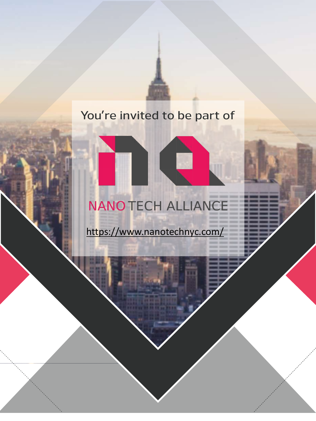#### **You're invited to be part of**

LE

## **NANO TECH ALLIANCE**

<https://www.nanotechnyc.com/>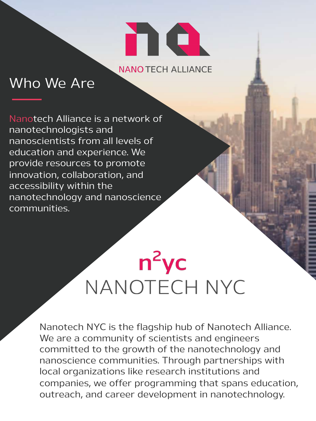

#### **NANO TECH ALLIANCE**

### Who We Are

Nanotech Alliance is a network of nanotechnologists and nanoscientists from all levels of education and experience. We provide resources to promote innovation, collaboration, and accessibility within the nanotechnology and nanoscience communities.

## $n^2$ yc NANOTECH NYC

Nanotech NYC is the flagship hub of Nanotech Alliance. We are a community of scientists and engineers committed to the growth of the nanotechnology and nanoscience communities. Through partnerships with local organizations like research institutions and companies, we offer programming that spans education, outreach, and career development in nanotechnology.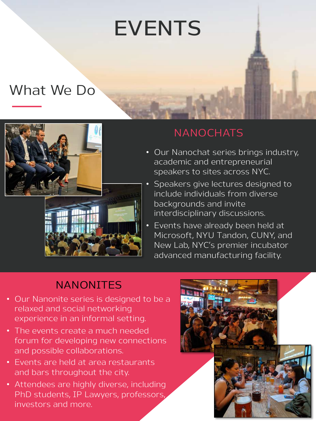# **EVENTS**

### What We Do



#### **NANOCHATS**

- Our Nanochat series brings industry, academic and entrepreneurial speakers to sites across NYC.
- Speakers give lectures designed to include individuals from diverse backgrounds and invite interdisciplinary discussions.
- Events have already been held at Microsoft, NYU Tandon, CUNY, and New Lab, NYC's premier incubator advanced manufacturing facility.

#### NANONITES

- Our Nanonite series is designed to be a relaxed and social networking experience in an informal setting.
- The events create a much needed forum for developing new connections and possible collaborations.
- Events are held at area restaurants and bars throughout the city.
- Attendees are highly diverse, including PhD students, IP Lawyers, professors, investors and more.

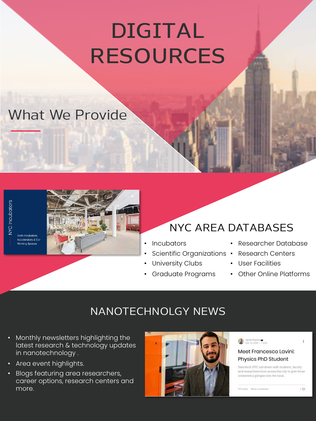# **DIGITAL RESOURCES**

### What We Provide



#### ch incubators Accelerators & Co-**Norking Spaces**

#### NYC AREA DATABASES

- Incubators
- Scientific Organizations Research Centers
- University Clubs
- Graduate Programs
- Researcher Database
- 
- User Facilities
- Other Online Platforms

#### NANOTECHNOLGY NEWS

- Monthly newsletters highlighting the latest research & technology updates in nanotechnology .
- Area event highlights.
- Blogs featuring area researchers, career options, research centers and more.



| Jacob Trevino      |  |
|--------------------|--|
| Dec 12, 2018 - 7 m |  |

#### Meet Francesco Lavini: Physics PhD Student

Nanotech NYC sits down with students, faculty and researchers from across the city to give those interested a glimpse into the local.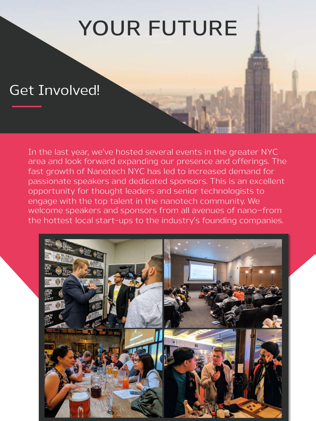## **YOUR FUTURE**

#### Get Involved!

In the last year, we've hosted several events in the greater NYC area and look forward expanding our presence and offerings. The fast growth of Nanotech NYC has led to increased demand for passionate speakers and dedicated sponsors. This is an excellent opportunity for thought leaders and senior technologists to engage with the top talent in the nanotech community. We welcome speakers and sponsors from all avenues of nano—from the hottest local start-ups to the industry's founding companies.

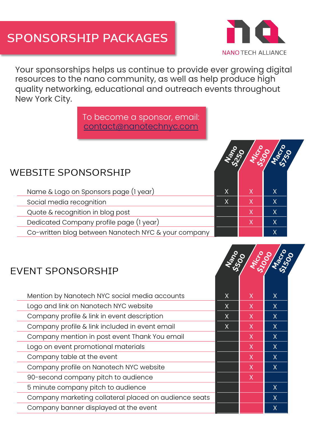#### **SPONSORSHIP PACKAGES**



Your sponsorships helps us continue to provide ever growing digital resources to the nano community, as well as help produce high quality networking, educational and outreach events throughout New York City.

> To become a sponsor, email: contact@nanotechnyc.com

#### WEBSITE SPONSORSHIP

- Name & Logo on Sponsors page (1 year)  $\overline{X}$   $\overline{X}$   $\overline{X}$   $\overline{X}$   $\overline{X}$
- Social media recognition and the set of the set of the set of the set of the set of the set of the set of the s
- Quote & recognition in blog post x x
- Dedicated Company profile page (1 year) x x
- Co-written blog between Nanotech NYC & your company **x** and **x x x**

#### EVENT SPONSORSHIP

| Mention by Nanotech NYC social media accounts         |   | X.     | X       |
|-------------------------------------------------------|---|--------|---------|
| Logo and link on Nanotech NYC website                 |   | X.     | X       |
| Company profile & link in event description           | X | X.     | X       |
| Company profile & link included in event email        | X | X      | X       |
| Company mention in post event Thank You email         |   | X      | X       |
| Logo on event promotional materials                   |   | X      | X       |
| Company table at the event                            |   | X      | X       |
| Company profile on Nanotech NYC website               |   | $\chi$ | X       |
| 90-second company pitch to audience                   |   | X.     |         |
| 5 minute company pitch to audience                    |   |        | $\sf X$ |
| Company marketing collateral placed on audience seats |   |        | X       |
| Company banner displayed at the event                 |   |        | X       |